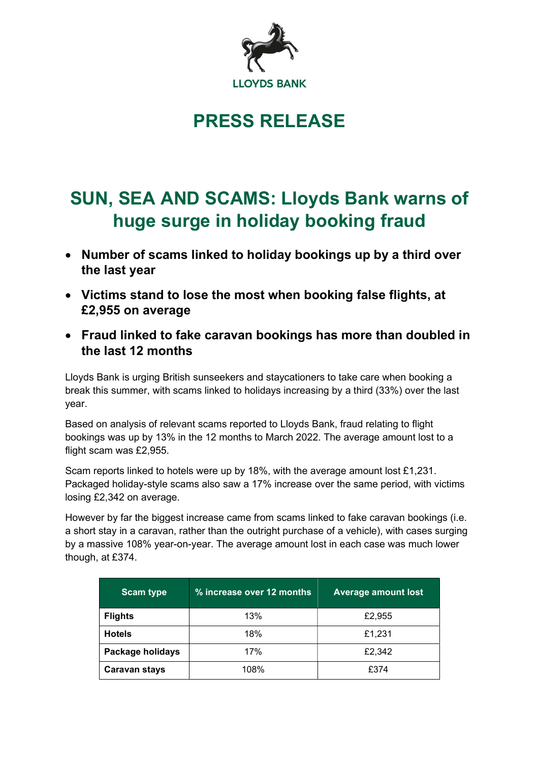

## PRESS RELEASE

# SUN, SEA AND SCAMS: Lloyds Bank warns of huge surge in holiday booking fraud

- Number of scams linked to holiday bookings up by a third over the last year
- Victims stand to lose the most when booking false flights, at £2,955 on average
- Fraud linked to fake caravan bookings has more than doubled in the last 12 months

Lloyds Bank is urging British sunseekers and staycationers to take care when booking a break this summer, with scams linked to holidays increasing by a third (33%) over the last year.

Based on analysis of relevant scams reported to Lloyds Bank, fraud relating to flight bookings was up by 13% in the 12 months to March 2022. The average amount lost to a flight scam was £2,955.

Scam reports linked to hotels were up by 18%, with the average amount lost £1,231. Packaged holiday-style scams also saw a 17% increase over the same period, with victims losing £2,342 on average.

However by far the biggest increase came from scams linked to fake caravan bookings (i.e. a short stay in a caravan, rather than the outright purchase of a vehicle), with cases surging by a massive 108% year-on-year. The average amount lost in each case was much lower though, at £374.

| <b>Scam type</b>     | % increase over 12 months | <b>Average amount lost</b> |
|----------------------|---------------------------|----------------------------|
| <b>Flights</b>       | 13%                       | £2,955                     |
| <b>Hotels</b>        | 18%                       | £1,231                     |
| Package holidays     | 17%                       | £2.342                     |
| <b>Caravan stays</b> | 108%                      | £374                       |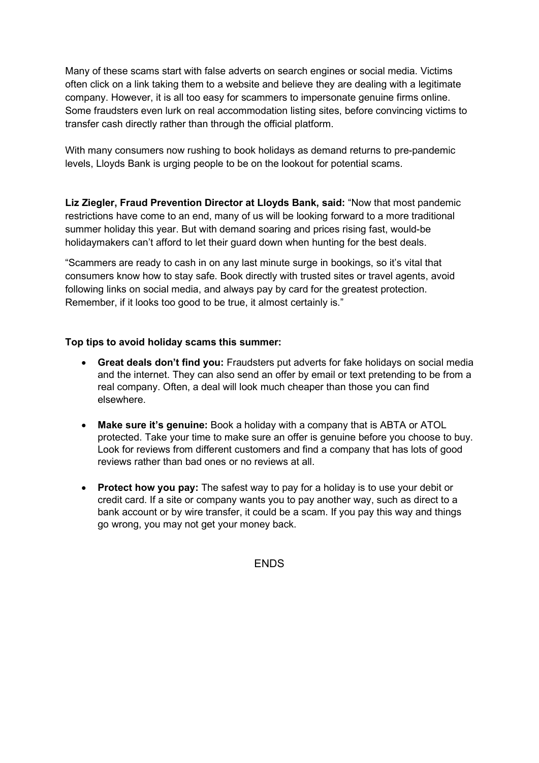Many of these scams start with false adverts on search engines or social media. Victims often click on a link taking them to a website and believe they are dealing with a legitimate company. However, it is all too easy for scammers to impersonate genuine firms online. Some fraudsters even lurk on real accommodation listing sites, before convincing victims to transfer cash directly rather than through the official platform.

With many consumers now rushing to book holidays as demand returns to pre-pandemic levels, Lloyds Bank is urging people to be on the lookout for potential scams.

Liz Ziegler, Fraud Prevention Director at Lloyds Bank, said: "Now that most pandemic restrictions have come to an end, many of us will be looking forward to a more traditional summer holiday this year. But with demand soaring and prices rising fast, would-be holidaymakers can't afford to let their guard down when hunting for the best deals.

"Scammers are ready to cash in on any last minute surge in bookings, so it's vital that consumers know how to stay safe. Book directly with trusted sites or travel agents, avoid following links on social media, and always pay by card for the greatest protection. Remember, if it looks too good to be true, it almost certainly is."

## Top tips to avoid holiday scams this summer:

- Great deals don't find you: Fraudsters put adverts for fake holidays on social media and the internet. They can also send an offer by email or text pretending to be from a real company. Often, a deal will look much cheaper than those you can find elsewhere.
- Make sure it's genuine: Book a holiday with a company that is ABTA or ATOL protected. Take your time to make sure an offer is genuine before you choose to buy. Look for reviews from different customers and find a company that has lots of good reviews rather than bad ones or no reviews at all.
- Protect how you pay: The safest way to pay for a holiday is to use your debit or credit card. If a site or company wants you to pay another way, such as direct to a bank account or by wire transfer, it could be a scam. If you pay this way and things go wrong, you may not get your money back.

**ENDS**